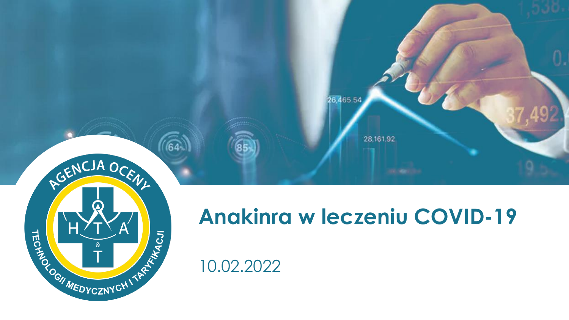

28,161.92

26,465.54

10.02.2022

RGENCJA OCEN

 $\boldsymbol{\Omega}$ 

REDESCRIPTION OF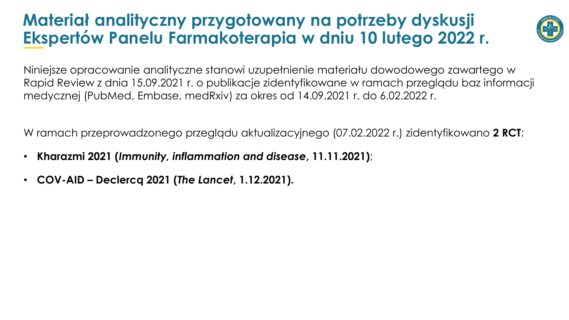### **Materiał analityczny przygotowany na potrzeby dyskusji Ekspertów Panelu Farmakoterapia w dniu 10 lutego 2022 r.**



Niniejsze opracowanie analityczne stanowi uzupełnienie materiału dowodowego zawartego w Rapid Review z dnia 15.09.2021 r. o publikacje zidentyfikowane w ramach przeglądu baz informacji medycznej (PubMed, Embase, medRxiv) za okres od 14.09.2021 r. do 6.02.2022 r.

W ramach przeprowadzonego przeglądu aktualizacyjnego (07.02.2022 r.) zidentyfikowano **2 RCT**:

- **Kharazmi 2021 (***Immunity, inflammation and disease***, 11.11.2021)**;
- **COV-AID – Declercq 2021 (***The Lancet***, 1.12.2021).**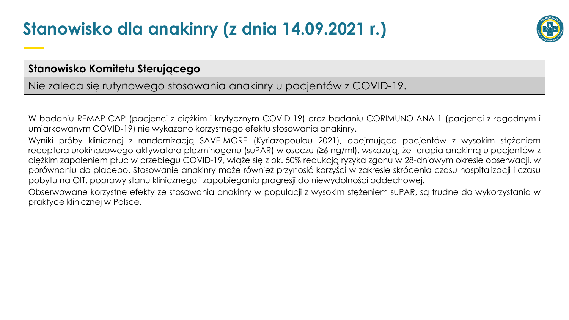## **Stanowisko dla anakinry (z dnia 14.09.2021 r.)**



#### **Stanowisko Komitetu Sterującego**

Nie zaleca się rutynowego stosowania anakinry u pacjentów z COVID-19.

W badaniu REMAP-CAP (pacjenci z ciężkim i krytycznym COVID-19) oraz badaniu CORIMUNO-ANA-1 (pacjenci z łagodnym i umiarkowanym COVID-19) nie wykazano korzystnego efektu stosowania anakinry.

Wyniki próby klinicznej z randomizacją SAVE-MORE (Kyriazopoulou 2021), obejmujące pacjentów z wysokim stężeniem receptora urokinazowego aktywatora plazminogenu (suPAR) w osoczu (≥6 ng/ml), wskazują, że terapia anakinrą u pacjentów z ciężkim zapaleniem płuc w przebiegu COVID-19, wiąże się z ok. 50% redukcją ryzyka zgonu w 28-dniowym okresie obserwacji, w porównaniu do placebo. Stosowanie anakinry może również przynosić korzyści w zakresie skrócenia czasu hospitalizacji i czasu pobytu na OIT, poprawy stanu klinicznego i zapobiegania progresji do niewydolności oddechowej.

Obserwowane korzystne efekty ze stosowania anakinry w populacji z wysokim stężeniem suPAR, są trudne do wykorzystania w praktyce klinicznej w Polsce.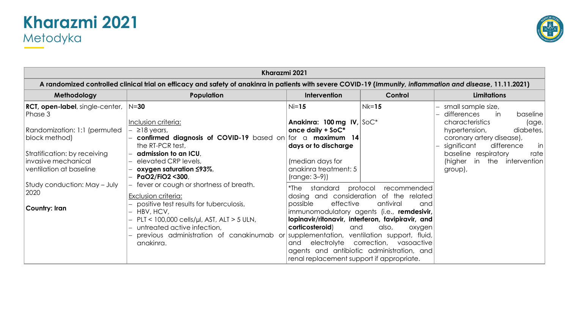#### **Kharazmi 2021** Metodyka



| Kharazmi 2021                                                                                                                                                                             |                                                                                                                                                                                                                                                                                                                |                                                                                                                                                    |                                                                                                                                                                                                                                                                                     |                                                                                                                                                                                                                                                                            |  |  |  |  |  |
|-------------------------------------------------------------------------------------------------------------------------------------------------------------------------------------------|----------------------------------------------------------------------------------------------------------------------------------------------------------------------------------------------------------------------------------------------------------------------------------------------------------------|----------------------------------------------------------------------------------------------------------------------------------------------------|-------------------------------------------------------------------------------------------------------------------------------------------------------------------------------------------------------------------------------------------------------------------------------------|----------------------------------------------------------------------------------------------------------------------------------------------------------------------------------------------------------------------------------------------------------------------------|--|--|--|--|--|
|                                                                                                                                                                                           | A randomized controlled clinical trial on efficacy and safety of anakinra in patients with severe COVID-19 (Immunity, inflammation and disease, 11.11.2021)                                                                                                                                                    |                                                                                                                                                    |                                                                                                                                                                                                                                                                                     |                                                                                                                                                                                                                                                                            |  |  |  |  |  |
| Methodology                                                                                                                                                                               | Population                                                                                                                                                                                                                                                                                                     | Intervention                                                                                                                                       | Control                                                                                                                                                                                                                                                                             | <b>Limitations</b>                                                                                                                                                                                                                                                         |  |  |  |  |  |
| <b>RCT, open-label, single-center, N=30</b><br>Phase 3<br>Randomization: 1:1 (permuted<br>block method)<br>Stratification: by receiving<br>invasive mechanical<br>ventilation at baseline | Inclusion criteria:<br>$\geq$ 18 years,<br>confirmed diagnosis of COVID-19 based on for a maximum 14<br>the RT-PCR test,<br>admission to an ICU,<br>elevated CRP levels,<br>oxygen saturation $\leq$ 93%,<br>PaO2/FiO2 <300,                                                                                   | $Ni=15$<br>Anakinra: 100 mg IV, $SOC^*$<br>once daily + SoC*<br>days or to discharge<br>(median days for<br>anakinra treatment: 5<br>$(range:3-9)$ | $Nk=15$                                                                                                                                                                                                                                                                             | - small sample size,<br>differences<br>in<br>baseline<br>characteristics<br>$\alpha$ ge,<br>diabetes,<br>hypertension,<br>coronary artery disease),<br>significant<br>difference<br> in <br>baseline respiratory<br>rate  <br>in the<br>intervention<br>(higher<br>group), |  |  |  |  |  |
| Study conduction: May - July<br>2020<br>Country: Iran                                                                                                                                     | fever or cough or shortness of breath.<br>Exclusion criteria:<br>- positive test results for tuberculosis,<br>- HBV, HCV,<br>$PLT < 100,000$ cells/µl, AST, ALT > 5 ULN,<br>untreated active infection,<br>previous administration of canakinumab or supplementation, ventilation support, fluid,<br>anakinra. | standard<br>*The<br>possible<br>effective<br>corticosteroid)<br>and<br>electrolyte<br>and<br>renal replacement support if appropriate.             | protocol<br>recommended<br>dosing and consideration of the related<br>antiviral<br>and<br>immunomodulatory agents (i.e., remdesivir,<br>lopinavir/ritonavir, interferon, favipiravir, and<br>also,<br>oxygen<br>correction, vasoactive<br>agents and antibiotic administration, and |                                                                                                                                                                                                                                                                            |  |  |  |  |  |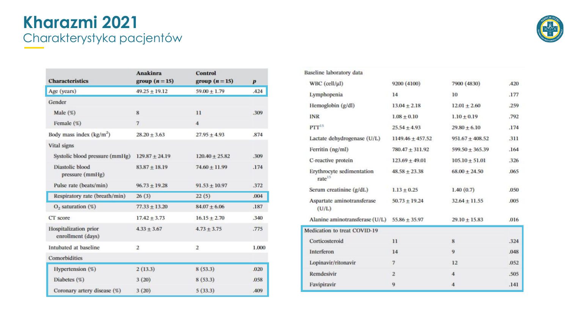#### **Kharazmi 2021** Charakterystyka pacjentów

| AGENCIA OCENI                             |
|-------------------------------------------|
|                                           |
| Residence of the Assessment Property<br>Ē |
|                                           |

| <b>Characteristics</b>                            | <b>Anakinra</b><br>group $(n=15)$ | <b>Control</b><br>group $(n=15)$ | $\boldsymbol{p}$ |  |
|---------------------------------------------------|-----------------------------------|----------------------------------|------------------|--|
| Age (years)                                       | $49.25 \pm 19.12$                 | $59.00 + 1.79$                   | .424             |  |
| Gender                                            |                                   |                                  |                  |  |
| Male $(\%)$                                       | 8                                 | 11                               | .309             |  |
| Female $(\%)$                                     | $\overline{7}$                    | $\overline{\mathbf{4}}$          |                  |  |
| Body mass index $(kg/m2)$                         | $28.20 \pm 3.63$                  | $27.95 \pm 4.93$                 | .874             |  |
| <b>Vital signs</b>                                |                                   |                                  |                  |  |
| Systolic blood pressure (mmHg)                    | $129.87 \pm 24.19$                | $120.40 \pm 25.82$               | .309             |  |
| <b>Diastolic blood</b><br>pressure (mmHg)         | $83.87 + 18.19$                   | $74.60 + 11.99$                  | .174             |  |
| Pulse rate (beats/min)                            | $96.73 + 19.28$                   | $91.53 + 10.97$                  | .372             |  |
| Respiratory rate (breath/min)                     | 26(3)                             | 22(5)                            | .004             |  |
| $O2$ saturation $(\%)$                            | $77.33 + 13.20$                   | $84.07 + 6.06$                   | .187             |  |
| CT score                                          | $17.42 \pm 3.73$                  | $16.15 \pm 2.70$                 | .340             |  |
| <b>Hospitalization</b> prior<br>enrollment (days) | $4.33 \pm 3.67$                   | $4.73 \pm 3.75$                  | .775             |  |
| Intubated at baseline                             | $\overline{2}$                    | $\boldsymbol{2}$                 | 1.000            |  |
| Comorbidities                                     |                                   |                                  |                  |  |
| Hypertension (%)                                  | 2(13.3)                           | 8(53.3)                          | .020             |  |
| Diabetes (%)                                      | 3(20)                             | 8(53.3)                          | .058             |  |
| Coronary artery disease (%)                       | 3(20)                             | 5(33.3)                          | .409             |  |

| Baseline laboratory data                        |                     |                     |      |
|-------------------------------------------------|---------------------|---------------------|------|
| WBC (cell/ $\mu$ l)                             | 9200 (4100)         | 7900 (4830)         | .420 |
| Lymphopenia                                     | 14                  | 10                  | .177 |
| Hemoglobin (g/dl)                               | $13.04 \pm 2.18$    | $12.01 \pm 2.60$    | .259 |
| <b>INR</b>                                      | $1.08 \pm 0.10$     | $1.10 \pm 0.19$     | .792 |
| $PTT^{15}$                                      | $25.54 \pm 4.93$    | $29.80 + 6.10$      | .174 |
| Lactate dehydrogenase (U/L)                     | $1149.46 + 457.52$  | $951.67 + 408.52$   | .311 |
| Ferritin (ng/ml)                                | $780.47 \pm 311.92$ | $599.50 \pm 365.39$ | .164 |
| C-reactive protein                              | $123.69 + 49.01$    | $105.10 \pm 51.01$  | 326  |
| Erythrocyte sedimentation<br>rate <sup>15</sup> | $48.58 + 23.38$     | $68.00 + 24.50$     | .065 |
| Serum creatinine (g/dL)                         | $1.13 + 0.25$       | 1.40(0.7)           | .050 |
| Aspartate aminotransferase<br>(U/L)             | $50.73 \pm 19.24$   | $32.64 + 11.55$     | .005 |
| Alanine aminotransferase (U/L)                  | $55.86 \pm 35.97$   | $29.10 + 15.83$     | .016 |
| Medication to treat COVID-19                    |                     |                     |      |
| Corticosteroid                                  | 11                  | 8                   | .324 |
| Interferon                                      | 14                  | $\mathbf Q$         | .048 |
| Lopinavir/ritonavir                             | $\overline{7}$      | 12                  | .052 |
| Remdesivir                                      | $\overline{2}$      | $\overline{4}$      | .505 |
| Favipiravir                                     | 9                   | $\overline{4}$      | .141 |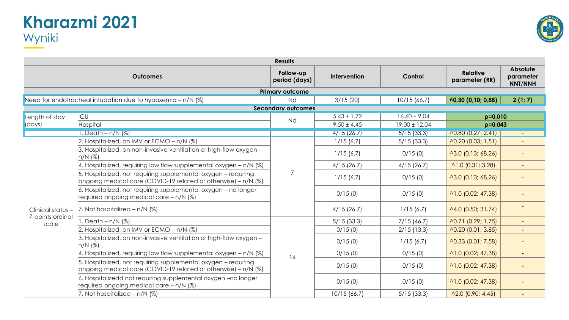#### **Kharazmi 2021** Wyniki



|                                       | <b>Results</b>                                                                                                                   |                            |                 |                   |                                   |                                         |  |  |
|---------------------------------------|----------------------------------------------------------------------------------------------------------------------------------|----------------------------|-----------------|-------------------|-----------------------------------|-----------------------------------------|--|--|
|                                       | <b>Outcomes</b>                                                                                                                  | Follow-up<br>period (days) | Intervention    | Control           | <b>Relative</b><br>parameter (RR) | <b>Absolute</b><br>parameter<br>NNT/NNH |  |  |
|                                       |                                                                                                                                  | <b>Primary outcome</b>     |                 |                   |                                   |                                         |  |  |
|                                       | Need for endotracheal intubation due to hypoxemia - n/N (%)                                                                      | Nd                         | 3/15(20)        | 10/15 (66,7)      | $\wedge$ 0,30 (0,10; 0,88)        | 2(1; 7)                                 |  |  |
|                                       |                                                                                                                                  | <b>Secondary outcomes</b>  |                 |                   |                                   |                                         |  |  |
| Length of stay                        | ICU                                                                                                                              | Nd                         | $5.43 \pm 1.72$ | $16.60 \pm 9.04$  | $p=0.010$                         |                                         |  |  |
| (days)                                | Hospital                                                                                                                         |                            | $9.50 \pm 4.45$ | $19.00 \pm 12.04$ | $p=0.043$                         |                                         |  |  |
|                                       | 1. Death $- n/N$ (%)                                                                                                             |                            | 4/15(26.7)      | 5/15(33.3)        | $\wedge$ 0.80 (0.27; 2.41)        |                                         |  |  |
|                                       | 2. Hospitalized, on IMV or ECMO - n/N (%)                                                                                        |                            | 1/15(6.7)       | $5/15$ (33.3)     | $\wedge$ 0.20 (0.03; 1.51)        |                                         |  |  |
|                                       | 3. Hospitalized, on non-invasive ventilation or high-flow oxygen -<br>$n/N$ (%)                                                  |                            | 1/15(6.7)       | 0/15(0)           | $\wedge$ 3.0 (0.13; 68.26)        |                                         |  |  |
|                                       | 4. Hospitalized, requiring low flow supplemental oxygen $- n/N$ (%)                                                              |                            | 4/15(26.7)      | 4/15(26.7)        | $\wedge$ 1.0 (0.31; 3.28)         |                                         |  |  |
|                                       | 5. Hospitalized, not requiring supplemental oxygen - requiring<br>ongoing medical care (COVID-19 related or otherwise) - n/N (%) | 7                          | 1/15(6.7)       | 0/15(0)           | ^3.0 (0.13; 68.26)                |                                         |  |  |
|                                       | 6. Hospitalized, not requiring supplemental oxygen - no longer<br>required ongoing medical care - n/N (%)                        |                            | 0/15(0)         | 0/15(0)           | ^1.0 (0.02; 47.38)                |                                         |  |  |
| Clinical status -<br>7-points ordinal | 7. Not hospitalized $- n/N$ (%)                                                                                                  |                            | 4/15(26.7)      | 1/15(6.7)         | ^4.0 (0.50; 31.74)                |                                         |  |  |
| scale                                 | . Death $- n/N$ (%)                                                                                                              |                            | $5/15$ (33.3)   | 7/15(46.7)        | ^0.71 (0.29; 1.75)                |                                         |  |  |
|                                       | 2. Hospitalized, on IMV or ECMO - n/N (%)                                                                                        |                            | 0/15(0)         | $2/15$ (13.3)     | $\wedge$ 0.20 (0.01; 3.85)        |                                         |  |  |
|                                       | 3. Hospitalized, on non-invasive ventilation or high-flow oxygen -<br>n/N (%)                                                    |                            | 0/15(0)         | 1/15(6.7)         | A0.33 (0.01; 7.58)                | ٠                                       |  |  |
|                                       | 4. Hospitalized, requiring low flow supplemental oxygen - n/N (%)                                                                | 14                         | 0/15(0)         | 0/15(0)           | ^1.0 (0.02; 47.38)                | ٠                                       |  |  |
|                                       | 5. Hospitalized, not requiring supplemental oxygen - requiring<br>ongoing medical care (COVID-19 related or otherwise) - n/N (%) |                            | 0/15(0)         | 0/15(0)           | $\wedge$ 1.0 (0.02; 47.38)        |                                         |  |  |
|                                       | 6. Hospitalizedd not requiring supplemental oxygen -no longer<br>required ongoing medical care - n/N (%)                         |                            | 0/15(0)         | 0/15(0)           | ^1.0 (0.02; 47.38)                |                                         |  |  |
|                                       | 7. Not hospitalized $- n/N$ (%)                                                                                                  |                            | 10/15 (66.7)    | $5/15$ (33.3)     | $\wedge$ 2.0 (0.90; 4.45)         |                                         |  |  |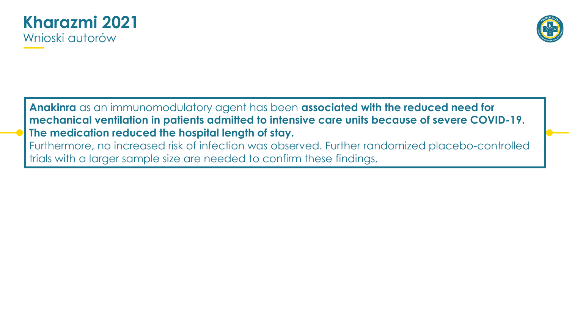



**Anakinra** as an immunomodulatory agent has been **associated with the reduced need for mechanical ventilation in patients admitted to intensive care units because of severe COVID-19. The medication reduced the hospital length of stay.**  Furthermore, no increased risk of infection was observed. Further randomized placebo-controlled

trials with a larger sample size are needed to confirm these findings.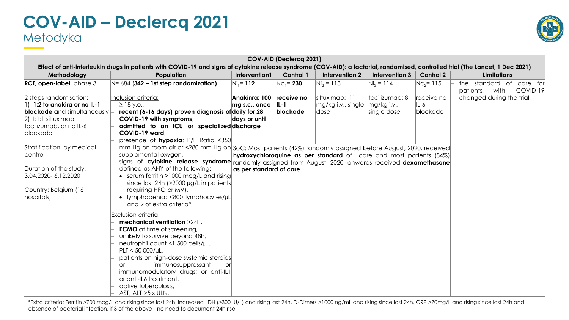#### **COV-AID – Declercq 2021** Metodyka



| COV-AID (Declercq 2021)                                                                                                                                              |                                                                                                                                                                                                                                                                                                                                                                                                                                                                    |                                                   |                                   |                                                                    |                                              |                                |                                                             |  |  |
|----------------------------------------------------------------------------------------------------------------------------------------------------------------------|--------------------------------------------------------------------------------------------------------------------------------------------------------------------------------------------------------------------------------------------------------------------------------------------------------------------------------------------------------------------------------------------------------------------------------------------------------------------|---------------------------------------------------|-----------------------------------|--------------------------------------------------------------------|----------------------------------------------|--------------------------------|-------------------------------------------------------------|--|--|
|                                                                                                                                                                      | Effect of anti-interleukin drugs in patients with COVID-19 and signs of cytokine release syndrome (COV-AID): a factorial, randomised, controlled trial (The Lancet, 1 Dec 2021)                                                                                                                                                                                                                                                                                    |                                                   |                                   |                                                                    |                                              |                                |                                                             |  |  |
| Methodology                                                                                                                                                          | Population                                                                                                                                                                                                                                                                                                                                                                                                                                                         | Intervention1                                     | <b>Control 1</b>                  | Intervention 2                                                     | Intervention 3                               | <b>Control 2</b>               | <b>Limitations</b>                                          |  |  |
| $RCI$ , open-label, phase $3$                                                                                                                                        | $N = 684$ (342 – 1st step randomization)                                                                                                                                                                                                                                                                                                                                                                                                                           | $Ni_1 = 112$                                      | $NC_1 = 230$                      | $Ni2 = 113$                                                        | $Ni3 = 114$                                  | $Nc_2 = 115$                   | the standard of<br>care for<br>COVID-19<br>patients<br>with |  |  |
| 2 steps randomisation:<br>1:2 to anakira or no IL-1<br><b>blockade</b> and simultaneously $\vdash$<br>$ 2 $ 1:1:1 siltuximab,<br>tocilizumab, or no IL-6<br>blockade | Inclusion criteria:<br>$\geq$ 18 y.o.,<br>recent (6-16 days) proven diagnosis of daily for 28<br>COVID-19 with symptoms,<br>admitted to an ICU or specialized discharge<br>COVID-19 ward.<br>presence of hypoxia: P/F Ratio <350                                                                                                                                                                                                                                   | Anakinra: 100<br>$mg$ s.c., once<br>days or until | receive no<br>$ L-1 $<br>blockade | siltuximab: 11<br>$mg/kg$ i.v., single<br>dose                     | tocilizumab: 8<br>mg/kg i.v.,<br>single dose | receive no<br>IL-6<br>blockade | changed during the trial,                                   |  |  |
| Stratification: by medical<br>centre<br>Duration of the study:<br>3.04.2020-6.12.2020<br>Country: Belgium (16<br>hospitals)                                          | mm Hg on room air or <280 mm Hg on SoC: Most patients (42%) randomly assigned before August, 2020, received<br>supplemental oxygen,<br>signs of cytokine release syndrome randomly assigned from August, 2020, onwards received dexamethasone<br>defined as ANY of the following:<br>• serum ferritin >1000 mcg/L and rising<br>since last 24h (>2000 µg/L in patients<br>requiring HFO or MV),<br>• lymphopenia: <800 lymphocytes/µL<br>and 2 of extra criteria*. | as per standard of care.                          |                                   | hydroxychloroquine as per standard of care and most patients (84%) |                                              |                                |                                                             |  |  |
|                                                                                                                                                                      | Exclusion criteria:<br>mechanical ventilation >24h,<br><b>ECMO</b> at time of screening,<br>unlikely to survive beyond 48h,<br>neutrophil count <1 500 cells/µL,<br>$PLT < 50000/ \mu L$<br>patients on high-dose systemic steroids<br>immunosuppressant<br><b>or</b><br>or<br>immunomodulatory drugs; or anti-IL1<br>or anti-IL6 treatment,<br>active tuberculosis,<br>AST, ALT >5 x ULN.                                                                         |                                                   |                                   |                                                                    |                                              |                                |                                                             |  |  |

\*Extra criteria: Ferritin >700 mcg/L and rising since last 24h, increased LDH (>300 IU/L) and rising last 24h, D-Dimers >1000 ng/mL and rising since last 24h, CRP >70mg/L and rising since last 24h and absence of bacterial infection, if 3 of the above - no need to document 24h rise.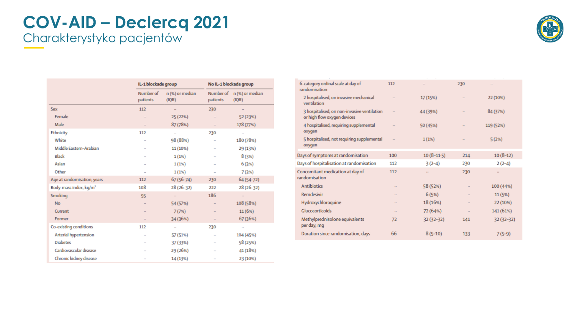#### **COV-AID – Declercq 2021** Charakterystyka pacjentów



|                                    | IL-1 blockade group   |                          | No IL-1 blockade group   |                                    |  |
|------------------------------------|-----------------------|--------------------------|--------------------------|------------------------------------|--|
|                                    | Number of<br>patients | n (%) or median<br>(IQR) | patients                 | Number of n (%) or median<br>(IQR) |  |
| Sex                                | 112                   | $\mathbf{r}$             | 230                      | $\sim$                             |  |
| Female                             | ш,                    | 25 (22%)                 |                          | 52 (23%)                           |  |
| Male                               | ۰.                    | 87 (78%)                 | $\overline{\phantom{a}}$ | 178 (77%)                          |  |
| <b>Ethnicity</b>                   | 112                   | ÷                        | 230                      | $\overline{\phantom{a}}$           |  |
| White                              |                       | 98 (88%)                 | $\ddot{\phantom{1}}$     | 180 (78%)                          |  |
| Middle Eastern-Arabian             |                       | 11 (10%)                 | $\ddot{\phantom{1}}$     | 29 (13%)                           |  |
| <b>Black</b>                       |                       | 1(1%)                    |                          | 8(3%)                              |  |
| Asian                              | $\overline{a}$        | 1(1%)                    | $\overline{a}$           | 6(3%)                              |  |
| Other                              | $\sim$                | 1(1%)                    | $\sim$                   | 7(3%)                              |  |
| Age at randomisation, years        | 112                   | $67(56-74)$              | 230                      | 64 (54-72)                         |  |
| Body-mass index, kg/m <sup>2</sup> | 108                   | 28 (26-32)               | 222                      | 28 (26-32)                         |  |
| Smoking                            | 95                    | a.                       | 186                      | $\mathcal{L}_{\mathcal{A}}$        |  |
| <b>No</b>                          |                       | 54 (57%)                 |                          | 108 (58%)                          |  |
| Current                            |                       | 7(7%)                    | ш,                       | 11(6%)                             |  |
| Former                             | $\blacksquare$        | 34 (36%)                 |                          | 67 (36%)                           |  |
| Co-existing conditions             | 112                   | ٠                        | 230                      |                                    |  |
| Arterial hypertension              | $\ddot{\phantom{a}}$  | 57 (51%)                 | ÷                        | 104 (45%)                          |  |
| <b>Diabetes</b>                    | .,                    | 37 (33%)                 |                          | 58 (25%)                           |  |
| Cardiovascular disease             |                       | 29 (26%)                 | $\overline{a}$           | 41 (18%)                           |  |
| Chronic kidney disease             | $\mathbf{r}$          | 14 (13%)                 |                          | 23 (10%)                           |  |

| 6-category ordinal scale at day of<br>randomisation                        | 112           | $\ddot{\phantom{a}}$ | 230            |              |
|----------------------------------------------------------------------------|---------------|----------------------|----------------|--------------|
| 2 hospitalised, on invasive mechanical<br>ventilation                      |               | 17(15%)              |                | 22 (10%)     |
| 3 hospitalised, on non-invasive ventilation<br>or high flow oxygen devices |               | 44 (39%)             | $\sim$         | 84 (37%)     |
| 4 hospitalised, requiring supplemental<br>oxygen                           | $\frac{1}{2}$ | 50 (45%)             | $\overline{a}$ | 119 (52%)    |
| 5 hospitalised, not requiring supplemental<br>oxygen                       | $\mathbf{r}$  | 1(1%)                | $\mathbf{r}$   | 5(2%)        |
| Days of symptoms at randomisation                                          | 100           | $10(8-11.5)$         | 214            | $10(8-12)$   |
| Days of hospitalisation at randomisation                                   | 112           | $3(2-4)$             | 230            | $2(2-4)$     |
| Concomitant medication at day of<br>randomisation                          | 112           | $\mathbf{r}$         | 230            | $\mathbf{r}$ |
| <b>Antibiotics</b>                                                         |               | 58 (52%)             | $\mathbf{r}$   | 100 (44%)    |
| <b>Remdesivir</b>                                                          | <b>ALC</b>    | 6(5%)                | a a            | 11(5%)       |
| Hydroxychloroquine                                                         | a a           | 18 (16%)             | $\mathbf{r}$   | 22 (10%)     |
| Glucocorticoids                                                            |               | 72 (64%)             | 88             | 141 (61%)    |
| Methylprednisolone equivalents<br>per day, mg                              | 72            | $32(32-32)$          | 141            | 32 (32-32)   |
| Duration since randomisation, days                                         | 66            | $8(5-10)$            | 133            | $7(5-9)$     |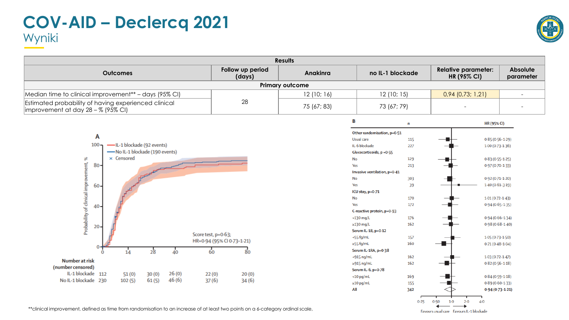### **COV-AID – Declercq 2021** Wyniki



|                                                                                               |                            | <b>Results</b>         |                                            |                  |                                                  |                              |
|-----------------------------------------------------------------------------------------------|----------------------------|------------------------|--------------------------------------------|------------------|--------------------------------------------------|------------------------------|
| <b>Outcomes</b>                                                                               | Follow up period<br>(days) | Anakinra               |                                            | no IL-1 blockade | <b>Relative parameter:</b><br><b>HR (95% CI)</b> | <b>Absolute</b><br>parameter |
|                                                                                               |                            | <b>Primary outcome</b> |                                            |                  |                                                  |                              |
| Median time to clinical improvement** - days (95% CI)                                         |                            | 12(10; 16)             |                                            | 12(10; 15)       | $0,94$ (0,73; 1,21)                              | $\overline{\phantom{a}}$     |
| Estimated probability of having experienced clinical<br> improvement at day $28 - %$ (95% CI) | 28                         | 75 (67; 83)            |                                            | 73 (67; 79)      |                                                  |                              |
|                                                                                               |                            |                        | B                                          | n                | HR (95% CI)                                      |                              |
|                                                                                               |                            |                        | Other randomisation, p=0-51                |                  |                                                  |                              |
| Α                                                                                             |                            |                        | Usual care                                 | 115              | $0.85(0.56 - 1.29)$                              |                              |
| -IL-1 blockade (92 events)<br>$100 -$                                                         |                            |                        | IL-6 blockade                              | 227              | $1.00(0.73-1.36)$                                |                              |
| -No IL-1 blockade (190 events)                                                                |                            |                        | Glucocorticoids, p = 0-55                  |                  |                                                  |                              |
| $\times$ Censored                                                                             |                            |                        | No                                         | 129              | $0.83(0.55 - 1.25)$                              |                              |
| Probability of clinical improvement, %<br>$80 -$                                              |                            |                        | Yes                                        | 213              | $0.97(0.70 - 1.33)$                              |                              |
|                                                                                               |                            |                        | Invasive ventilation, p=0-41               |                  |                                                  |                              |
|                                                                                               |                            |                        | No                                         | 303              | $0.92(0.71 - 1.20)$                              |                              |
| 60-                                                                                           |                            |                        | Yes                                        | 39               | $1.40(0.61 - 3.19)$                              |                              |
|                                                                                               |                            |                        | ICU stay, p=0-71                           |                  |                                                  |                              |
|                                                                                               |                            |                        | No                                         | 170              | $1.01(0.72 - 1.43)$                              |                              |
| 40-                                                                                           |                            |                        | Yes                                        | 172              | $0.94(0.65 - 1.35)$                              |                              |
|                                                                                               |                            |                        | C-reactive protein, p=0-93<br>$<$ 130 mg/L | 176              | $0.94(0.66 - 1.34)$                              |                              |
|                                                                                               |                            |                        | $\geq$ 130 mg/L                            | 162              | $0.98(0.68 - 1.40)$                              |                              |
| $20 -$                                                                                        |                            |                        | Serum IL-1B, p=0-12                        |                  |                                                  |                              |
|                                                                                               | Score test, p=0.63;        |                        | <55 fg/mL                                  | 157              | $1.05(0.73 - 1.50)$                              |                              |
|                                                                                               | HR=0-94 (95% CI 0-73-1-21) |                        | $\geq$ 55 fg/mL                            | 160              | $0.71(0.48 - 1.04)$                              |                              |
| 14<br>28<br>40<br>$\Omega$                                                                    | 60<br>80                   |                        | Serum IL-1RA, p=0-38                       |                  |                                                  |                              |
|                                                                                               |                            |                        | $<$ 915 ng/mL                              | 162              | $1.03(0.72 - 1.47)$                              |                              |
| Number at risk                                                                                |                            |                        | $\geq$ 915 ng/mL                           | 162              | $0.82(0.56 - 1.18)$                              |                              |
| (number censored)<br>IL-1 blockade 112<br>26(0)<br>30(0)                                      | 22(0)<br>20(0)             |                        | Serum IL-6, p=0-78                         |                  |                                                  |                              |
| 51(0)<br>46 (6)<br>No IL-1 blockade 230<br>61(5)<br>102(5)                                    | 37(6)<br>34(6)             |                        | $<$ 10 pg/mL                               | 169              | $0.84(0.59-1.18)$                                |                              |
|                                                                                               |                            |                        | $\geq$ 10 pg/mL                            | 155              | $0.89(0.60 - 1.33)$                              |                              |

| andomisation, p=0-51  |     |      |                                          |       |         |                     |
|-----------------------|-----|------|------------------------------------------|-------|---------|---------------------|
| are                   | 115 |      |                                          |       |         | $0.85(0.56 - 1.29)$ |
| ckade                 | 227 |      |                                          |       |         | $1.00(0.73 - 1.36)$ |
| orticoids, p =0-55    |     |      |                                          |       |         |                     |
|                       | 129 |      |                                          |       |         | $0.83(0.55 - 1.25)$ |
|                       | 213 |      |                                          |       |         | $0.97(0.70 - 1.33)$ |
| e ventilation, p=0-41 |     |      |                                          |       |         |                     |
|                       | 303 |      |                                          |       |         | $0.92(0.71 - 1.20)$ |
|                       | 39  |      |                                          |       |         | $1.40(0.61 - 3.19)$ |
| y, p=0-71             |     |      |                                          |       |         |                     |
|                       | 170 |      |                                          |       |         | $1.01(0.72 - 1.43)$ |
|                       | 172 |      |                                          |       |         | $0.94(0.65 - 1.35)$ |
| ive protein, p=0-93   |     |      |                                          |       |         |                     |
| g/L                   | 176 |      |                                          |       |         | $0.94(0.66 - 1.34)$ |
| g/L                   | 162 |      |                                          |       |         | $0.98(0.68 - 1.40)$ |
| IL-1B, p=0-12         |     |      |                                          |       |         |                     |
| mL                    | 157 |      |                                          |       |         | $1.05(0.73 - 1.50)$ |
| mL                    | 160 |      |                                          |       |         | $0.71(0.48 - 1.04)$ |
| L-1RA, p=0-38         |     |      |                                          |       |         |                     |
| 1/mL                  | 162 |      |                                          |       |         | $1.03(0.72 - 1.47)$ |
| 1/mL                  | 162 |      |                                          |       |         | $0.82(0.56 - 1.18)$ |
| IL-6, p=0-78          |     |      |                                          |       |         |                     |
| mL                    | 169 |      |                                          |       |         | $0.84(0.59 - 1.18)$ |
| mL                    | 155 |      |                                          |       |         | $0.89(0.60 - 1.33)$ |
|                       | 342 |      |                                          |       |         | $0.94(0.73 - 1.21)$ |
|                       |     |      |                                          |       |         |                     |
|                       |     | 0.25 | $0 - 50$                                 | $1-0$ | $2 - 0$ | $4-0$               |
|                       |     |      | Favours usual care Favours IL-1 blockade |       |         |                     |
|                       |     |      |                                          |       |         |                     |

All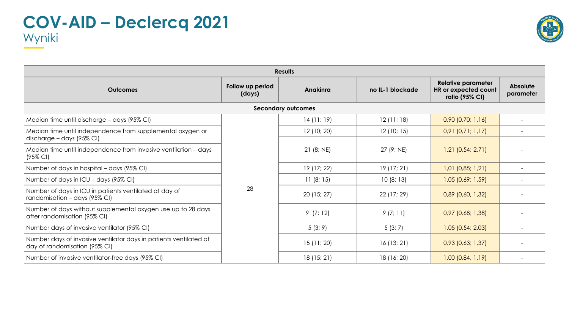

| <b>Results</b>                                                                                           |                            |                           |                  |                                                                     |                       |  |  |  |
|----------------------------------------------------------------------------------------------------------|----------------------------|---------------------------|------------------|---------------------------------------------------------------------|-----------------------|--|--|--|
| <b>Outcomes</b>                                                                                          | Follow up period<br>(days) | <b>Anakinra</b>           | no IL-1 blockade | <b>Relative parameter</b><br>HR or expected count<br>ratio (95% CI) | Absolute<br>parameter |  |  |  |
|                                                                                                          |                            | <b>Secondary outcomes</b> |                  |                                                                     |                       |  |  |  |
| Median time until discharge - days (95% CI)                                                              |                            | 14(11; 19)                | 12 (11; 18)      | $0,90$ $(0,70; 1,16)$                                               |                       |  |  |  |
| Median time until independence from supplemental oxygen or                                               |                            | 12 (10; 20)               | 12(10; 15)       | $0,91$ $(0,71; 1,17)$                                               |                       |  |  |  |
| discharge - days (95% CI)<br>Median time until independence from invasive ventilation - days<br>(95% CI) |                            | 21(8; NE)                 | 27 (9; NE)       | $1,21$ (0,54; 2,71)                                                 |                       |  |  |  |
| Number of days in hospital – days (95% CI)                                                               |                            | 19 (17; 22)               | 19(17; 21)       | $1,01$ (0,85; 1,21)                                                 |                       |  |  |  |
| Number of days in ICU - days (95% CI)                                                                    |                            | 11(8; 15)                 | 10(8; 13)        | $1,05$ (0,69; 1,59)                                                 |                       |  |  |  |
| Number of days in ICU in patients ventilated at day of<br>randomisation - days (95% CI)                  | 28                         | 20(15; 27)                | 22 (17; 29)      | $0,89$ (0,60, 1,32)                                                 |                       |  |  |  |
| Number of days without supplemental oxygen use up to 28 days<br>after randomisation (95% CI)             |                            | 9(7; 12)                  | 9(7; 11)         | $0,97$ (0,68; 1,38)                                                 |                       |  |  |  |
| Number days of invasive ventilator (95% CI)                                                              |                            | 5(3; 9)                   | 5(3; 7)          | $1,05$ (0,54; 2,03)                                                 |                       |  |  |  |
| Number days of invasive ventilator days in patients ventilated at<br>day of randomisation (95% CI)       |                            | 15(11; 20)                | 16(13; 21)       | $0,93$ (0,63; 1,37)                                                 |                       |  |  |  |
| Number of invasive ventilator-free days (95% CI)                                                         |                            | 18 (15; 21)               | 18 (16; 20)      | $1,00$ (0,84, 1,19)                                                 |                       |  |  |  |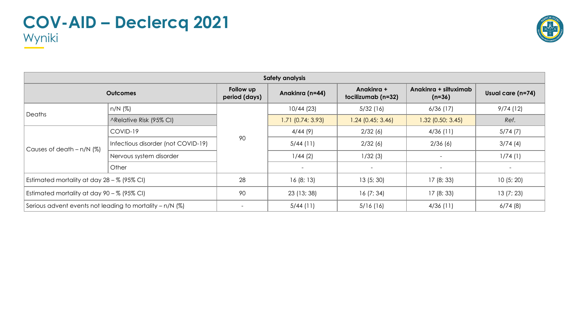

| <b>Safety analysis</b>                                     |                                    |                            |                          |                                  |                                   |                          |  |  |  |
|------------------------------------------------------------|------------------------------------|----------------------------|--------------------------|----------------------------------|-----------------------------------|--------------------------|--|--|--|
|                                                            | <b>Outcomes</b>                    | Follow up<br>period (days) | Anakinra (n=44)          | Anakinra +<br>tocilizumab (n=32) | Anakinra + siltuximab<br>$(n=36)$ | Usual care (n=74)        |  |  |  |
|                                                            | $n/N$ (%)                          |                            | 10/44(23)                | 5/32(16)                         | 6/36(17)                          | 9/74(12)                 |  |  |  |
| Deaths                                                     | ARelative Risk (95% CI)            |                            | $1.71$ (0.74; 3.93)      | $1.24$ (0.45; 3.46)              | $1.32$ (0.50; 3.45)               | Ref.                     |  |  |  |
| Causes of death $- n/N$ (%)                                | COVID-19                           | 90                         | 4/44(9)                  | 2/32(6)                          | 4/36(11)                          | 5/74(7)                  |  |  |  |
|                                                            | Infectious disorder (not COVID-19) |                            | $5/44$ (11)              | 2/32(6)                          | 2/36(6)                           | 3/74(4)                  |  |  |  |
|                                                            | Nervous system disorder            |                            | 1/44(2)                  | 1/32(3)                          |                                   | 1/74(1)                  |  |  |  |
|                                                            | Other                              |                            | $\overline{\phantom{a}}$ | $\overline{\phantom{a}}$         | $\overline{\phantom{a}}$          | $\overline{\phantom{a}}$ |  |  |  |
| Estimated mortality at day $28 - %$ (95% CI)               |                                    | 28                         | 16(8; 13)                | 13(5; 30)                        | 17(8; 33)                         | 10(5; 20)                |  |  |  |
| Estimated mortality at day 90 - % (95% CI)                 |                                    | 90                         | 23 (13; 38)              | 16(7; 34)                        | 17(8; 33)                         | 13(7; 23)                |  |  |  |
| Serious advent events not leading to mortality $- n/N$ (%) |                                    |                            | $5/44$ (11)              | 5/16(16)                         | 4/36(11)                          | 6/74(8)                  |  |  |  |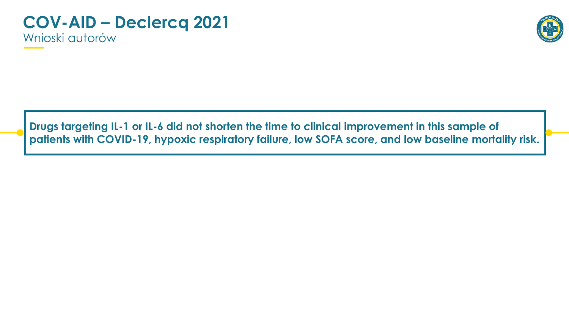#### **COV-AID – Declercq 2021** Wnioski autorów



**Drugs targeting IL-1 or IL-6 did not shorten the time to clinical improvement in this sample of patients with COVID-19, hypoxic respiratory failure, low SOFA score, and low baseline mortality risk.**